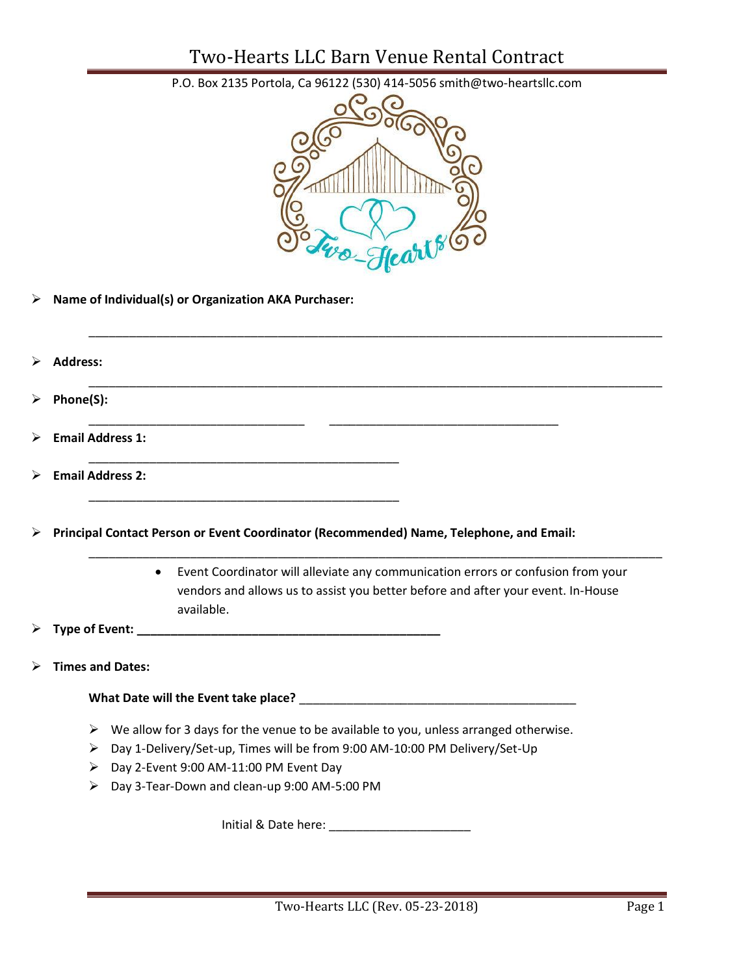### Two-Hearts LLC Barn Venue Rental Contract



P.O. Box 2135 Portola, Ca 96122 (530) 414-5056 smith@two-heartsllc.com

➢ **Name of Individual(s) or Organization AKA Purchaser:**

| ➤ | <b>Address:</b>                                                                                                                                                                          |  |
|---|------------------------------------------------------------------------------------------------------------------------------------------------------------------------------------------|--|
| ➤ | Phone(S):                                                                                                                                                                                |  |
| ➤ | <b>Email Address 1:</b>                                                                                                                                                                  |  |
| ➤ | <b>Email Address 2:</b>                                                                                                                                                                  |  |
| ➤ | Principal Contact Person or Event Coordinator (Recommended) Name, Telephone, and Email:                                                                                                  |  |
|   | Event Coordinator will alleviate any communication errors or confusion from your<br>vendors and allows us to assist you better before and after your event. In-House<br>available.       |  |
|   |                                                                                                                                                                                          |  |
|   | <b>Times and Dates:</b>                                                                                                                                                                  |  |
|   |                                                                                                                                                                                          |  |
|   | $\triangleright$ We allow for 3 days for the venue to be available to you, unless arranged otherwise.<br>Day 1-Delivery/Set-up, Times will be from 9:00 AM-10:00 PM Delivery/Set-Up<br>≻ |  |

- ➢ Day 2-Event 9:00 AM-11:00 PM Event Day
- ➢ Day 3-Tear-Down and clean-up 9:00 AM-5:00 PM

Initial & Date here: \_\_\_\_\_\_\_\_\_\_\_\_\_\_\_\_\_\_\_\_\_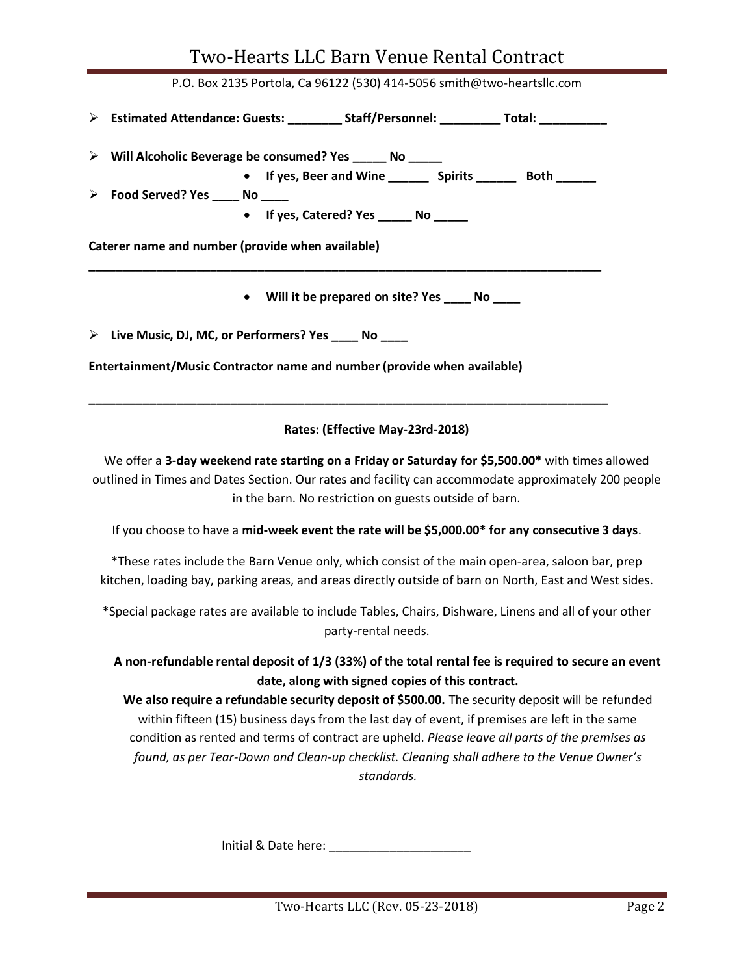# Two-Hearts LLC Barn Venue Rental Contract P.O. Box 2135 Portola, Ca 96122 (530) 414-5056 smith@two-heartsllc.com ➢ **Estimated Attendance: Guests: \_\_\_\_\_\_\_\_ Staff/Personnel: \_\_\_\_\_\_\_\_\_ Total: \_\_\_\_\_\_\_\_\_\_** ➢ **Will Alcoholic Beverage be consumed? Yes \_\_\_\_\_ No \_\_\_\_\_** • **If yes, Beer and Wine \_\_\_\_\_\_ Spirits \_\_\_\_\_\_ Both \_\_\_\_\_\_** ➢ **Food Served? Yes \_\_\_\_ No \_\_\_\_** • **If yes, Catered? Yes \_\_\_\_\_ No \_\_\_\_\_ Caterer name and number (provide when available) \_\_\_\_\_\_\_\_\_\_\_\_\_\_\_\_\_\_\_\_\_\_\_\_\_\_\_\_\_\_\_\_\_\_\_\_\_\_\_\_\_\_\_\_\_\_\_\_\_\_\_\_\_\_\_\_\_\_\_\_\_\_\_\_\_\_\_\_\_\_\_\_\_\_\_\_** • **Will it be prepared on site? Yes \_\_\_\_ No \_\_\_\_** ➢ **Live Music, DJ, MC, or Performers? Yes \_\_\_\_ No \_\_\_\_**

**Entertainment/Music Contractor name and number (provide when available)**

#### **Rates: (Effective May-23rd-2018)**

**\_\_\_\_\_\_\_\_\_\_\_\_\_\_\_\_\_\_\_\_\_\_\_\_\_\_\_\_\_\_\_\_\_\_\_\_\_\_\_\_\_\_\_\_\_\_\_\_\_\_\_\_\_\_\_\_\_\_\_\_\_\_\_\_\_\_\_\_\_\_\_\_\_\_\_\_\_**

We offer a **3-day weekend rate starting on a Friday or Saturday for \$5,500.00\*** with times allowed outlined in Times and Dates Section. Our rates and facility can accommodate approximately 200 people in the barn. No restriction on guests outside of barn.

If you choose to have a **mid-week event the rate will be \$5,000.00\* for any consecutive 3 days**.

\*These rates include the Barn Venue only, which consist of the main open-area, saloon bar, prep kitchen, loading bay, parking areas, and areas directly outside of barn on North, East and West sides.

\*Special package rates are available to include Tables, Chairs, Dishware, Linens and all of your other party-rental needs.

**A non-refundable rental deposit of 1/3 (33%) of the total rental fee is required to secure an event date, along with signed copies of this contract.**

**We also require a refundable security deposit of \$500.00.** The security deposit will be refunded within fifteen (15) business days from the last day of event, if premises are left in the same condition as rented and terms of contract are upheld. *Please leave all parts of the premises as found, as per Tear-Down and Clean-up checklist. Cleaning shall adhere to the Venue Owner's standards.*

Initial & Date here: \_\_\_\_\_\_\_\_\_\_\_\_\_\_\_\_\_\_\_\_\_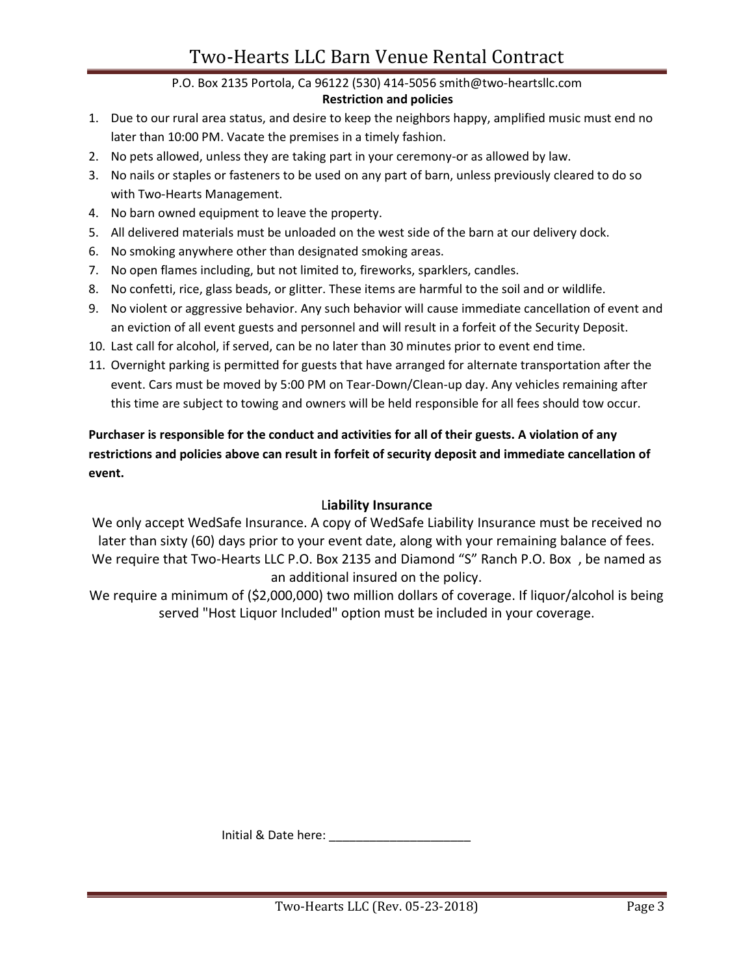## Two-Hearts LLC Barn Venue Rental Contract

#### P.O. Box 2135 Portola, Ca 96122 (530) 414-5056 smith@two-heartsllc.com

#### **Restriction and policies**

- 1. Due to our rural area status, and desire to keep the neighbors happy, amplified music must end no later than 10:00 PM. Vacate the premises in a timely fashion.
- 2. No pets allowed, unless they are taking part in your ceremony-or as allowed by law.
- 3. No nails or staples or fasteners to be used on any part of barn, unless previously cleared to do so with Two-Hearts Management.
- 4. No barn owned equipment to leave the property.
- 5. All delivered materials must be unloaded on the west side of the barn at our delivery dock.
- 6. No smoking anywhere other than designated smoking areas.
- 7. No open flames including, but not limited to, fireworks, sparklers, candles.
- 8. No confetti, rice, glass beads, or glitter. These items are harmful to the soil and or wildlife.
- 9. No violent or aggressive behavior. Any such behavior will cause immediate cancellation of event and an eviction of all event guests and personnel and will result in a forfeit of the Security Deposit.
- 10. Last call for alcohol, if served, can be no later than 30 minutes prior to event end time.
- 11. Overnight parking is permitted for guests that have arranged for alternate transportation after the event. Cars must be moved by 5:00 PM on Tear-Down/Clean-up day. Any vehicles remaining after this time are subject to towing and owners will be held responsible for all fees should tow occur.

### **Purchaser is responsible for the conduct and activities for all of their guests. A violation of any restrictions and policies above can result in forfeit of security deposit and immediate cancellation of event.**

#### L**iability Insurance**

We only accept WedSafe Insurance. A copy of WedSafe Liability Insurance must be received no later than sixty (60) days prior to your event date, along with your remaining balance of fees. We require that Two-Hearts LLC P.O. Box 2135 and Diamond "S" Ranch P.O. Box , be named as an additional insured on the policy.

We require a minimum of (\$2,000,000) two million dollars of coverage. If liquor/alcohol is being served "Host Liquor Included" option must be included in your coverage.

Initial & Date here: \_\_\_\_\_\_\_\_\_\_\_\_\_\_\_\_\_\_\_\_\_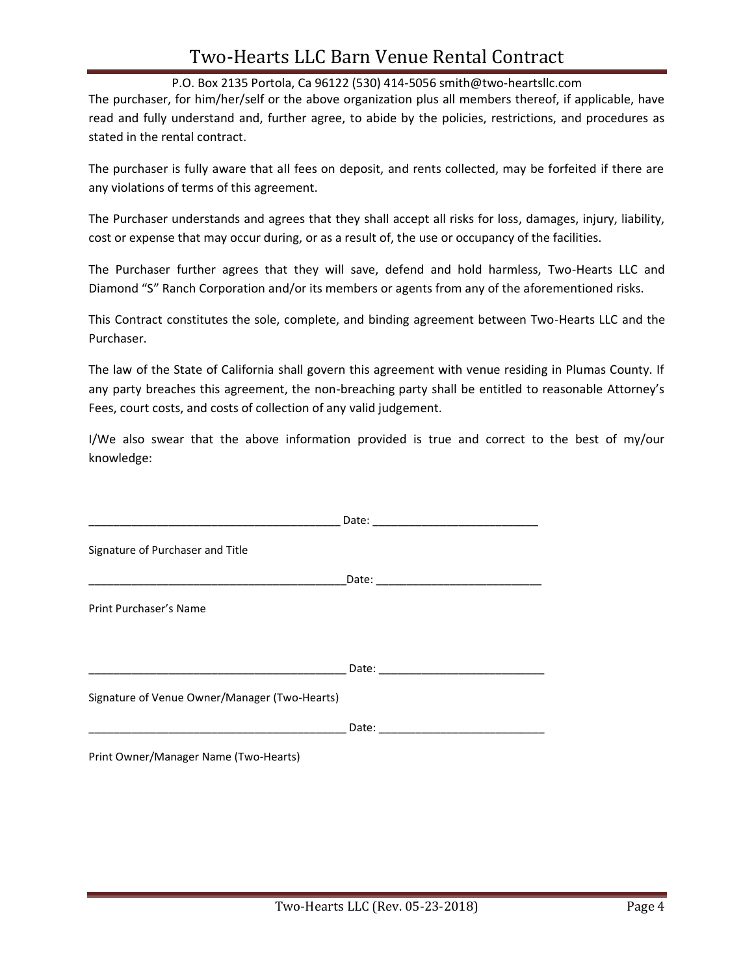### Two-Hearts LLC Barn Venue Rental Contract

P.O. Box 2135 Portola, Ca 96122 (530) 414-5056 smith@two-heartsllc.com

The purchaser, for him/her/self or the above organization plus all members thereof, if applicable, have read and fully understand and, further agree, to abide by the policies, restrictions, and procedures as stated in the rental contract.

The purchaser is fully aware that all fees on deposit, and rents collected, may be forfeited if there are any violations of terms of this agreement.

The Purchaser understands and agrees that they shall accept all risks for loss, damages, injury, liability, cost or expense that may occur during, or as a result of, the use or occupancy of the facilities.

The Purchaser further agrees that they will save, defend and hold harmless, Two-Hearts LLC and Diamond "S" Ranch Corporation and/or its members or agents from any of the aforementioned risks.

This Contract constitutes the sole, complete, and binding agreement between Two-Hearts LLC and the Purchaser.

The law of the State of California shall govern this agreement with venue residing in Plumas County. If any party breaches this agreement, the non-breaching party shall be entitled to reasonable Attorney's Fees, court costs, and costs of collection of any valid judgement.

I/We also swear that the above information provided is true and correct to the best of my/our knowledge:

| Signature of Purchaser and Title              |  |
|-----------------------------------------------|--|
|                                               |  |
| Print Purchaser's Name                        |  |
|                                               |  |
|                                               |  |
| Signature of Venue Owner/Manager (Two-Hearts) |  |
|                                               |  |
| Print Owner/Manager Name (Two-Hearts)         |  |